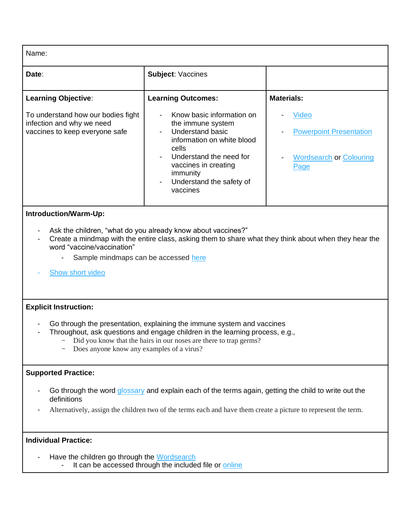Name:

| Date:                                                                                             | <b>Subject: Vaccines</b>                                                                                                                                                                                         |                                                                                   |
|---------------------------------------------------------------------------------------------------|------------------------------------------------------------------------------------------------------------------------------------------------------------------------------------------------------------------|-----------------------------------------------------------------------------------|
| <b>Learning Objective:</b>                                                                        | <b>Learning Outcomes:</b>                                                                                                                                                                                        | <b>Materials:</b>                                                                 |
| To understand how our bodies fight<br>infection and why we need<br>vaccines to keep everyone safe | Know basic information on<br>the immune system<br>Understand basic<br>information on white blood<br>cells<br>Understand the need for<br>vaccines in creating<br>immunity<br>Understand the safety of<br>vaccines | Video<br><b>Powerpoint Presentation</b><br><b>Wordsearch or Colouring</b><br>Page |

# **Introduction/Warm-Up:**

- Ask the children, "what do you already know about vaccines?"
- Create a mindmap with the entire class, asking them to share what they think about when they hear the word "vaccine/vaccination"
	- Sample mindmaps can be accessed [here](https://irishprimaryteacher.ie/mind-maps-tony-buzan/)
- [Show short video](https://autism-toolkit.ie/wp-content/uploads/2021/04/Vaccines-and-the-Immune-System.mp4)

### **Explicit Instruction:**

- Go through the presentation, explaining the immune system and vaccines
- Throughout, ask questions and engage children in the learning process, e.g.,
	- Did you know that the hairs in our noses are there to trap germs?
	- Does anyone know any examples of a virus?

### **Supported Practice:**

- Go through the word [glossary](https://autism-toolkit.ie/wp-content/uploads/2021/04/Lesson-Plan-Glossary.pdf) and explain each of the terms again, getting the child to write out the definitions
- Alternatively, assign the children two of the terms each and have them create a picture to represent the term.

## **Individual Practice:**

- Have the children go through the [Wordsearch](https://autism-toolkit.ie/wp-content/uploads/2021/04/Vaccine-wordsearch.pdf)
	- It can be accessed through the included file or [online](https://thewordsearch.com/puzle/1997982/)